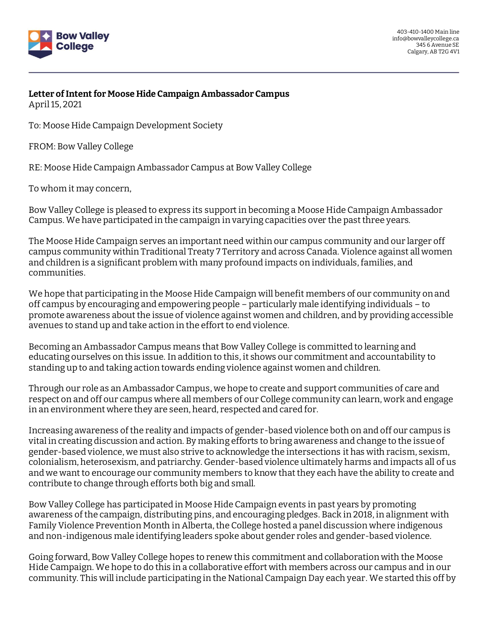

**Letter ofIntent for Moose Hide Campaign Ambassador Campus** April 15, 2021

To: Moose Hide Campaign Development Society

FROM: Bow Valley College

RE: Moose Hide Campaign Ambassador Campus at Bow Valley College

To whom it may concern,

Bow Valley College is pleased to express its support in becoming a Moose Hide Campaign Ambassador Campus. We have participated in the campaign in varying capacities over the past three years.

The Moose Hide Campaign serves an important need within our campus community and our larger off campus community within Traditional Treaty 7 Territory and across Canada. Violence against all women and children is a significant problem with many profound impacts on individuals, families, and communities.

We hope that participating in the Moose Hide Campaign will benefit members of our community on and off campus by encouraging and empowering people – particularly male identifying individuals – to promote awareness about the issue of violence against women and children, and by providing accessible avenues to stand up and take action in the effort to end violence.

Becoming an Ambassador Campus means that Bow Valley College is committed to learning and educating ourselves on this issue. In addition to this, it shows our commitment and accountability to standing up to and taking action towards ending violence against women and children.

Through our role as an Ambassador Campus, we hope to create and support communities of care and respect on and off our campus where all members of our College community can learn, work and engage in an environment where they are seen, heard, respected and cared for.

Increasing awareness of the reality and impacts of gender-based violence both on and off our campus is vital in creating discussion and action. By making efforts to bring awareness and change to the issue of gender-based violence, we must also strive to acknowledge the intersections it has with racism, sexism, colonialism, heterosexism, and patriarchy. Gender-based violence ultimately harms and impacts all of us and we want to encourage our community members to know that they each have the ability to create and contribute to change through efforts both big and small.

Bow Valley College has participated in Moose Hide Campaign events in past years by promoting awareness of the campaign, distributing pins, and encouraging pledges. Back in 2018, in alignment with Family Violence Prevention Month in Alberta, the College hosted a panel discussion where indigenous and non-indigenous male identifying leaders spoke about gender roles and gender-based violence.

Going forward, Bow Valley College hopes to renew this commitment and collaboration with the Moose Hide Campaign. We hope to do this in a collaborative effort with members across our campus and in our community. This will include participating in the National Campaign Day each year. We started this off by